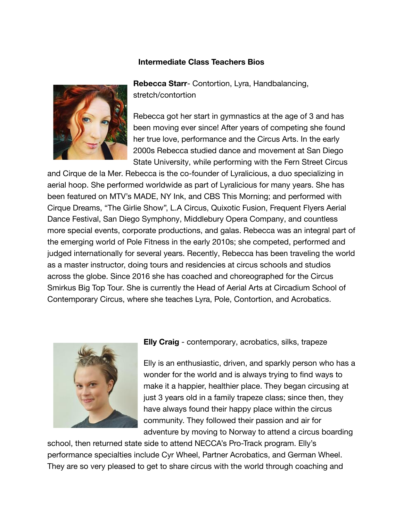## **Intermediate Class Teachers Bios**



**Rebecca Starr**- Contortion, Lyra, Handbalancing, stretch/contortion

Rebecca got her start in gymnastics at the age of 3 and has been moving ever since! After years of competing she found her true love, performance and the Circus Arts. In the early 2000s Rebecca studied dance and movement at San Diego State University, while performing with the Fern Street Circus

and Cirque de la Mer. Rebecca is the co-founder of Lyralicious, a duo specializing in aerial hoop. She performed worldwide as part of Lyralicious for many years. She has been featured on MTV's MADE, NY Ink, and CBS This Morning; and performed with Cirque Dreams, "The Girlie Show", L.A Circus, Quixotic Fusion, Frequent Flyers Aerial Dance Festival, San Diego Symphony, Middlebury Opera Company, and countless more special events, corporate productions, and galas. Rebecca was an integral part of the emerging world of Pole Fitness in the early 2010s; she competed, performed and judged internationally for several years. Recently, Rebecca has been traveling the world as a master instructor, doing tours and residencies at circus schools and studios across the globe. Since 2016 she has coached and choreographed for the Circus Smirkus Big Top Tour. She is currently the Head of Aerial Arts at Circadium School of Contemporary Circus, where she teaches Lyra, Pole, Contortion, and Acrobatics.



**Elly Craig** - contemporary, acrobatics, silks, trapeze

Elly is an enthusiastic, driven, and sparkly person who has a wonder for the world and is always trying to find ways to make it a happier, healthier place. They began circusing at just 3 years old in a family trapeze class; since then, they have always found their happy place within the circus community. They followed their passion and air for adventure by moving to Norway to attend a circus boarding

school, then returned state side to attend NECCA's Pro-Track program. Elly's performance specialties include Cyr Wheel, Partner Acrobatics, and German Wheel. They are so very pleased to get to share circus with the world through coaching and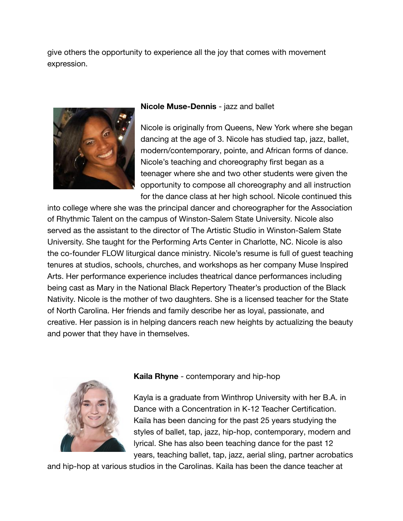give others the opportunity to experience all the joy that comes with movement expression.



## **Nicole Muse-Dennis** - jazz and ballet

Nicole is originally from Queens, New York where she began dancing at the age of 3. Nicole has studied tap, jazz, ballet, modern/contemporary, pointe, and African forms of dance. Nicole's teaching and choreography first began as a teenager where she and two other students were given the opportunity to compose all choreography and all instruction for the dance class at her high school. Nicole continued this

into college where she was the principal dancer and choreographer for the Association of Rhythmic Talent on the campus of Winston-Salem State University. Nicole also served as the assistant to the director of The Artistic Studio in Winston-Salem State University. She taught for the Performing Arts Center in Charlotte, NC. Nicole is also the co-founder FLOW liturgical dance ministry. Nicole's resume is full of guest teaching tenures at studios, schools, churches, and workshops as her company Muse Inspired Arts. Her performance experience includes theatrical dance performances including being cast as Mary in the National Black Repertory Theater's production of the Black Nativity. Nicole is the mother of two daughters. She is a licensed teacher for the State of North Carolina. Her friends and family describe her as loyal, passionate, and creative. Her passion is in helping dancers reach new heights by actualizing the beauty and power that they have in themselves.



## **Kaila Rhyne** - contemporary and hip-hop

Kayla is a graduate from Winthrop University with her B.A. in Dance with a Concentration in K-12 Teacher Certification. Kaila has been dancing for the past 25 years studying the styles of ballet, tap, jazz, hip-hop, contemporary, modern and lyrical. She has also been teaching dance for the past 12 years, teaching ballet, tap, jazz, aerial sling, partner acrobatics

and hip-hop at various studios in the Carolinas. Kaila has been the dance teacher at